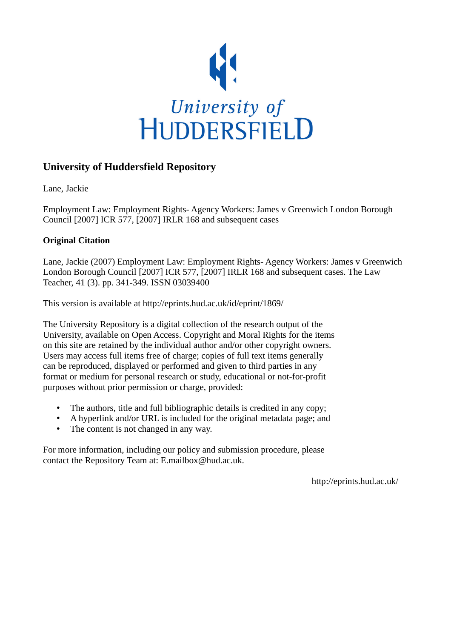

## **University of Huddersfield Repository**

Lane, Jackie

Employment Law: Employment Rights- Agency Workers: James v Greenwich London Borough Council [2007] ICR 577, [2007] IRLR 168 and subsequent cases

## **Original Citation**

Lane, Jackie (2007) Employment Law: Employment Rights- Agency Workers: James v Greenwich London Borough Council [2007] ICR 577, [2007] IRLR 168 and subsequent cases. The Law Teacher, 41 (3). pp. 341-349. ISSN 03039400

This version is available at http://eprints.hud.ac.uk/id/eprint/1869/

The University Repository is a digital collection of the research output of the University, available on Open Access. Copyright and Moral Rights for the items on this site are retained by the individual author and/or other copyright owners. Users may access full items free of charge; copies of full text items generally can be reproduced, displayed or performed and given to third parties in any format or medium for personal research or study, educational or not-for-profit purposes without prior permission or charge, provided:

- The authors, title and full bibliographic details is credited in any copy;
- A hyperlink and/or URL is included for the original metadata page; and
- The content is not changed in any way.

For more information, including our policy and submission procedure, please contact the Repository Team at: E.mailbox@hud.ac.uk.

http://eprints.hud.ac.uk/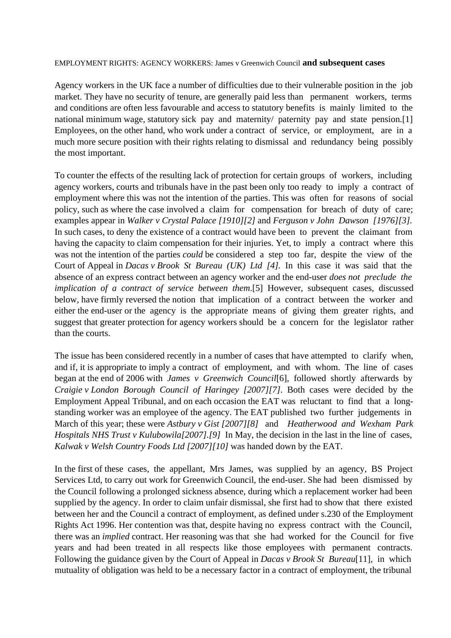## EMPLOYMENT RIGHTS: AGENCY WORKERS: James v Greenwich Council **and subsequent cases**

Agency workers in the UK face a number of difficulties due to their vulnerable position in the job market. They have no security of tenure, are generally paid less than permanent workers, terms and conditions are often less favourable and access to statutory benefits is mainly limited to the national minimum wage, statutory sick pay and maternity/ paternity pay and state pension.[1] Employees, on the other hand, who work under a contract of service, or employment, are in a much more secure position with their rights relating to dismissal and redundancy being possibly the most important.

To counter the effects of the resulting lack of protection for certain groups of workers, including agency workers, courts and tribunals have in the past been only too ready to imply a contract of employment where this was not the intention of the parties. This was often for reasons of social policy, such as where the case involved a claim for compensation for breach of duty of care; examples appear in *Walker v Crystal Palace [1910][2]* and *Ferguson v John Dawson [1976][3].* In such cases, to deny the existence of a contract would have been to prevent the claimant from having the capacity to claim compensation for their injuries. Yet, to imply a contract where this was not the intention of the parties *could* be considered a step too far, despite the view of the Court of Appeal in *Dacas v Brook St Bureau (UK) Ltd [4].* In this case it was said that the absence of an express contract between an agency worker and the end-user *does not preclude the implication of a contract of service between them*.[5] However, subsequent cases, discussed below, have firmly reversed the notion that implication of a contract between the worker and either the end-user or the agency is the appropriate means of giving them greater rights, and suggest that greater protection for agency workers should be a concern for the legislator rather than the courts.

The issue has been considered recently in a number of cases that have attempted to clarify when, and if, it is appropriate to imply a contract of employment, and with whom. The line of cases began at the end of 2006 with *James v Greenwich Council*[6], followed shortly afterwards by *Craigie v London Borough Council of Haringey [2007][7]*. Both cases were decided by the Employment Appeal Tribunal, and on each occasion the EAT was reluctant to find that a longstanding worker was an employee of the agency. The EAT published two further judgements in March of this year; these were *Astbury v Gist [2007][8]* and *Heatherwood and Wexham Park Hospitals NHS Trust v Kulubowila[2007].[9]* In May, the decision in the last in the line of cases, *Kalwak v Welsh Country Foods Ltd [2007][10]* was handed down by the EAT.

In the first of these cases, the appellant, Mrs James, was supplied by an agency, BS Project Services Ltd, to carry out work for Greenwich Council, the end-user. She had been dismissed by the Council following a prolonged sickness absence, during which a replacement worker had been supplied by the agency. In order to claim unfair dismissal, she first had to show that there existed between her and the Council a contract of employment, as defined under s.230 of the Employment Rights Act 1996. Her contention was that, despite having no express contract with the Council, there was an *implied* contract. Her reasoning was that she had worked for the Council for five years and had been treated in all respects like those employees with permanent contracts. Following the guidance given by the Court of Appeal in *Dacas v Brook St Bureau*[11], in which mutuality of obligation was held to be a necessary factor in a contract of employment, the tribunal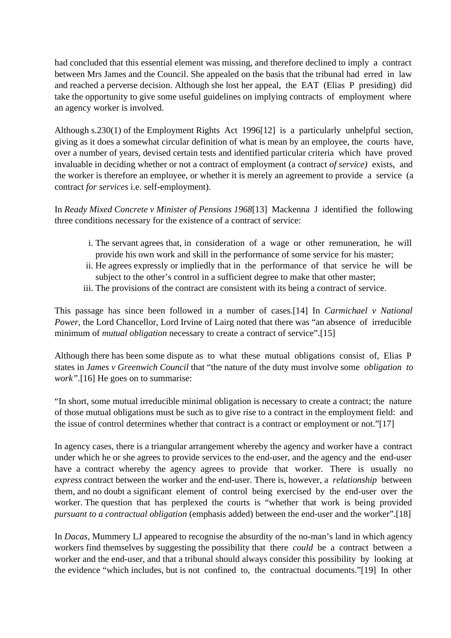had concluded that this essential element was missing, and therefore declined to imply a contract between Mrs James and the Council. She appealed on the basis that the tribunal had erred in law and reached a perverse decision. Although she lost her appeal, the EAT (Elias P presiding) did take the opportunity to give some useful guidelines on implying contracts of employment where an agency worker is involved.

Although s.230(1) of the Employment Rights Act 1996[12] is a particularly unhelpful section, giving as it does a somewhat circular definition of what is mean by an employee, the courts have, over a number of years, devised certain tests and identified particular criteria which have proved invaluable in deciding whether or not a contract of employment (a contract *of service)* exists, and the worker is therefore an employee, or whether it is merely an agreement to provide a service (a contract *for services* i.e. self-employment).

In *Ready Mixed Concrete v Minister of Pensions 1968*[13] Mackenna J identified the following three conditions necessary for the existence of a contract of service:

- i. The servant agrees that, in consideration of a wage or other remuneration, he will provide his own work and skill in the performance of some service for his master;
- ii. He agrees expressly or impliedly that in the performance of that service he will be subject to the other's control in a sufficient degree to make that other master;
- iii. The provisions of the contract are consistent with its being a contract of service.

This passage has since been followed in a number of cases.[14] In *Carmichael v National Power,* the Lord Chancellor, Lord Irvine of Lairg noted that there was "an absence of irreducible minimum of *mutual obligation* necessary to create a contract of service".[15]

Although there has been some dispute as to what these mutual obligations consist of, Elias P states in *James v Greenwich Council* that "the nature of the duty must involve some *obligation to work*".<sup>[16]</sup> He goes on to summarise:

"In short, some mutual irreducible minimal obligation is necessary to create a contract; the nature of those mutual obligations must be such as to give rise to a contract in the employment field: and the issue of control determines whether that contract is a contract or employment or not."[17]

In agency cases, there is a triangular arrangement whereby the agency and worker have a contract under which he or she agrees to provide services to the end-user, and the agency and the end-user have a contract whereby the agency agrees to provide that worker. There is usually no *express* contract between the worker and the end-user. There is, however, a *relationship* between them, and no doubt a significant element of control being exercised by the end-user over the worker. The question that has perplexed the courts is "whether that work is being provided *pursuant to a contractual obligation* (emphasis added) between the end-user and the worker".[18]

In *Dacas,* Mummery LJ appeared to recognise the absurdity of the no-man's land in which agency workers find themselves by suggesting the possibility that there *could* be a contract between a worker and the end-user, and that a tribunal should always consider this possibility by looking at the evidence "which includes, but is not confined to, the contractual documents."[19] In other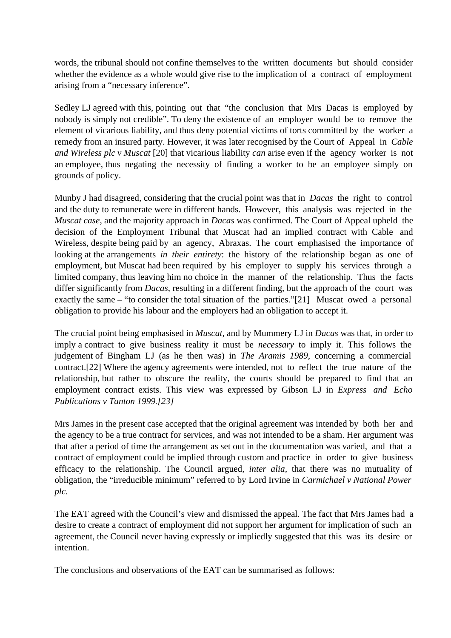words, the tribunal should not confine themselves to the written documents but should consider whether the evidence as a whole would give rise to the implication of a contract of employment arising from a "necessary inference".

Sedley LJ agreed with this, pointing out that "the conclusion that Mrs Dacas is employed by nobody is simply not credible". To deny the existence of an employer would be to remove the element of vicarious liability, and thus deny potential victims of torts committed by the worker a remedy from an insured party. However, it was later recognised by the Court of Appeal in *Cable and Wireless plc v Muscat* [20] that vicarious liability *can* arise even if the agency worker is not an employee, thus negating the necessity of finding a worker to be an employee simply on grounds of policy.

Munby J had disagreed, considering that the crucial point was that in *Dacas* the right to control and the duty to remunerate were in different hands. However, this analysis was rejected in the *Muscat case*, and the majority approach in *Dacas* was confirmed. The Court of Appeal upheld the decision of the Employment Tribunal that Muscat had an implied contract with Cable and Wireless, despite being paid by an agency, Abraxas. The court emphasised the importance of looking at the arrangements *in their entirety*: the history of the relationship began as one of employment, but Muscat had been required by his employer to supply his services through a limited company, thus leaving him no choice in the manner of the relationship. Thus the facts differ significantly from *Dacas*, resulting in a different finding, but the approach of the court was exactly the same – "to consider the total situation of the parties."[21] Muscat owed a personal obligation to provide his labour and the employers had an obligation to accept it.

The crucial point being emphasised in *Muscat,* and by Mummery LJ in *Dacas* was that, in order to imply a contract to give business reality it must be *necessary* to imply it. This follows the judgement of Bingham LJ (as he then was) in *The Aramis 1989*, concerning a commercial contract.[22] Where the agency agreements were intended, not to reflect the true nature of the relationship, but rather to obscure the reality, the courts should be prepared to find that an employment contract exists. This view was expressed by Gibson LJ in *Express and Echo Publications v Tanton 1999.[23]*

Mrs James in the present case accepted that the original agreement was intended by both her and the agency to be a true contract for services, and was not intended to be a sham. Her argument was that after a period of time the arrangement as set out in the documentation was varied, and that a contract of employment could be implied through custom and practice in order to give business efficacy to the relationship. The Council argued, *inter alia,* that there was no mutuality of obligation, the "irreducible minimum" referred to by Lord Irvine in *Carmichael v National Power plc*.

The EAT agreed with the Council's view and dismissed the appeal. The fact that Mrs James had a desire to create a contract of employment did not support her argument for implication of such an agreement, the Council never having expressly or impliedly suggested that this was its desire or intention.

The conclusions and observations of the EAT can be summarised as follows: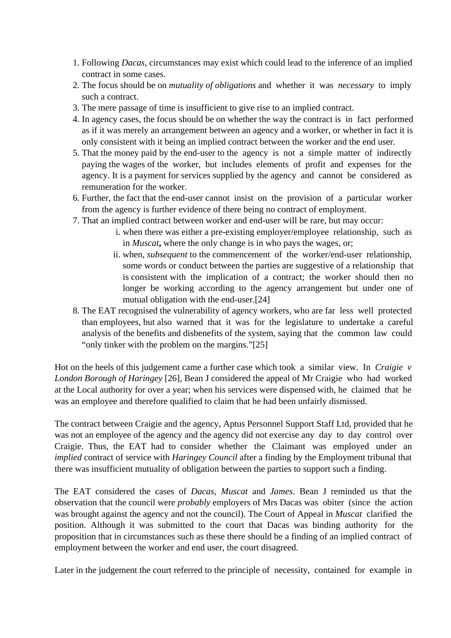- 1. Following *Dacas*, circumstances may exist which could lead to the inference of an implied contract in some cases.
- 2. The focus should be on *mutuality of obligations* and whether it was *necessary* to imply such a contract.
- 3. The mere passage of time is insufficient to give rise to an implied contract.
- 4. In agency cases, the focus should be on whether the way the contract is in fact performed as if it was merely an arrangement between an agency and a worker, or whether in fact it is only consistent with it being an implied contract between the worker and the end user.
- 5. That the money paid by the end-user to the agency is not a simple matter of indirectly paying the wages of the worker, but includes elements of profit and expenses for the agency. It is a payment for services supplied by the agency and cannot be considered as remuneration for the worker.
- 6. Further, the fact that the end-user cannot insist on the provision of a particular worker from the agency is further evidence of there being no contract of employment.
- 7. That an implied contract between worker and end-user will be rare, but may occur:
	- i. when there was either a pre-existing employer/employee relationship, such as in *Muscat***,** where the only change is in who pays the wages, or;
	- ii. when, *subsequent* to the commencement of the worker/end-user relationship, some words or conduct between the parties are suggestive of a relationship that is consistent with the implication of a contract; the worker should then no longer be working according to the agency arrangement but under one of mutual obligation with the end-user.[24]
- 8. The EAT recognised the vulnerability of agency workers, who are far less well protected than employees, but also warned that it was for the legislature to undertake a careful analysis of the benefits and disbenefits of the system, saying that the common law could "only tinker with the problem on the margins."[25]

Hot on the heels of this judgement came a further case which took a similar view. In *Craigie v London Borough of Haringey* [26], Bean J considered the appeal of Mr Craigie who had worked at the Local authority for over a year; when his services were dispensed with, he claimed that he was an employee and therefore qualified to claim that he had been unfairly dismissed.

The contract between Craigie and the agency, Aptus Personnel Support Staff Ltd, provided that he was not an employee of the agency and the agency did not exercise any day to day control over Craigie. Thus, the EAT had to consider whether the Claimant was employed under an *implied* contract of service with *Haringey Council* after a finding by the Employment tribunal that there was insufficient mutuality of obligation between the parties to support such a finding.

The EAT considered the cases of *Dacas*, *Muscat* and *James*. Bean J reminded us that the observation that the council were *probably* employers of Mrs Dacas was obiter (since the action was brought against the agency and not the council). The Court of Appeal in *Muscat* clarified the position. Although it was submitted to the court that Dacas was binding authority for the proposition that in circumstances such as these there should be a finding of an implied contract of employment between the worker and end user, the court disagreed.

Later in the judgement the court referred to the principle of necessity, contained for example in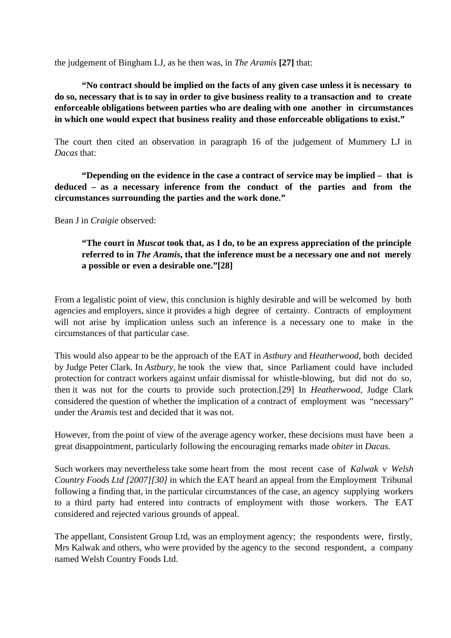the judgement of Bingham LJ, as he then was, in *The Aramis* **[27]** that:

 **"No contract should be implied on the facts of any given case unless it is necessary to do so, necessary that is to say in order to give business reality to a transaction and to create enforceable obligations between parties who are dealing with one another in circumstances in which one would expect that business reality and those enforceable obligations to exist."**

The court then cited an observation in paragraph 16 of the judgement of Mummery LJ in *Dacas* that:

 **"Depending on the evidence in the case a contract of service may be implied – that is deduced – as a necessary inference from the conduct of the parties and from the circumstances surrounding the parties and the work done."**

Bean J in *Craigie* observed:

## **"The court in** *Muscat* **took that, as I do, to be an express appreciation of the principle referred to in** *The Aramis***, that the inference must be a necessary one and not merely a possible or even a desirable one."[28]**

From a legalistic point of view, this conclusion is highly desirable and will be welcomed by both agencies and employers, since it provides a high degree of certainty. Contracts of employment will not arise by implication unless such an inference is a necessary one to make in the circumstances of that particular case.

This would also appear to be the approach of the EAT in *Astbury* and *Heatherwood*, both decided by Judge Peter Clark. In *Astbury,* he took the view that, since Parliament could have included protection for contract workers against unfair dismissal for whistle-blowing, but did not do so, then it was not for the courts to provide such protection.[29] In *Heatherwood,* Judge Clark considered the question of whether the implication of a contract of employment was "necessary" under the *Aramis* test and decided that it was not.

However, from the point of view of the average agency worker, these decisions must have been a great disappointment, particularly following the encouraging remarks made *obiter* in *Dacas.*

Such workers may nevertheless take some heart from the most recent case of *Kalwak v Welsh Country Foods Ltd [2007][30]* in which the EAT heard an appeal from the Employment Tribunal following a finding that, in the particular circumstances of the case, an agency supplying workers to a third party had entered into contracts of employment with those workers. The EAT considered and rejected various grounds of appeal.

The appellant, Consistent Group Ltd, was an employment agency; the respondents were, firstly, Mrs Kalwak and others, who were provided by the agency to the second respondent, a company named Welsh Country Foods Ltd.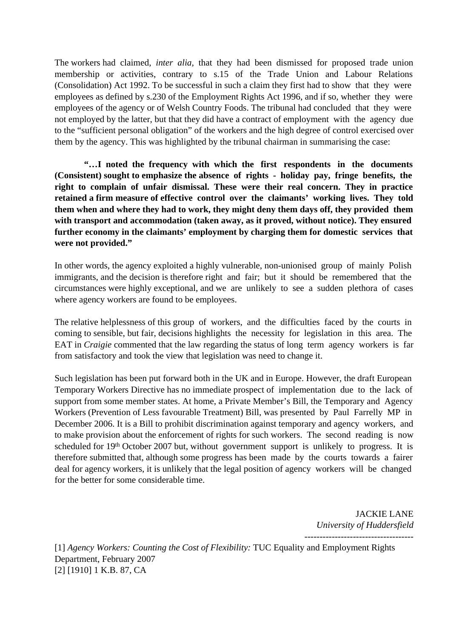The workers had claimed, *inter alia,* that they had been dismissed for proposed trade union membership or activities, contrary to s.15 of the Trade Union and Labour Relations (Consolidation) Act 1992. To be successful in such a claim they first had to show that they were employees as defined by s.230 of the Employment Rights Act 1996, and if so, whether they were employees of the agency or of Welsh Country Foods. The tribunal had concluded that they were not employed by the latter, but that they did have a contract of employment with the agency due to the "sufficient personal obligation" of the workers and the high degree of control exercised over them by the agency. This was highlighted by the tribunal chairman in summarising the case:

 **"…I noted the frequency with which the first respondents in the documents (Consistent) sought to emphasize the absence of rights - holiday pay, fringe benefits, the right to complain of unfair dismissal. These were their real concern. They in practice retained a firm measure of effective control over the claimants' working lives. They told them when and where they had to work, they might deny them days off, they provided them with transport and accommodation (taken away, as it proved, without notice). They ensured further economy in the claimants' employment by charging them for domestic services that were not provided."**

In other words, the agency exploited a highly vulnerable, non-unionised group of mainly Polish immigrants, and the decision is therefore right and fair; but it should be remembered that the circumstances were highly exceptional, and we are unlikely to see a sudden plethora of cases where agency workers are found to be employees.

The relative helplessness of this group of workers, and the difficulties faced by the courts in coming to sensible, but fair, decisions highlights the necessity for legislation in this area. The EAT in *Craigie* commented that the law regarding the status of long term agency workers is far from satisfactory and took the view that legislation was need to change it.

Such legislation has been put forward both in the UK and in Europe. However, the draft European Temporary Workers Directive has no immediate prospect of implementation due to the lack of support from some member states. At home, a Private Member's Bill, the Temporary and Agency Workers (Prevention of Less favourable Treatment) Bill, was presented by Paul Farrelly MP in December 2006. It is a Bill to prohibit discrimination against temporary and agency workers, and to make provision about the enforcement of rights for such workers. The second reading is now scheduled for 19<sup>th</sup> October 2007 but, without government support is unlikely to progress. It is therefore submitted that, although some progress has been made by the courts towards a fairer deal for agency workers, it is unlikely that the legal position of agency workers will be changed for the better for some considerable time.

> JACKIE LANE *University of Huddersfield*

[1] *Agency Workers: Counting the Cost of Flexibility:* TUC Equality and Employment Rights Department, February 2007 [2] [1910] 1 K.B. 87, CA